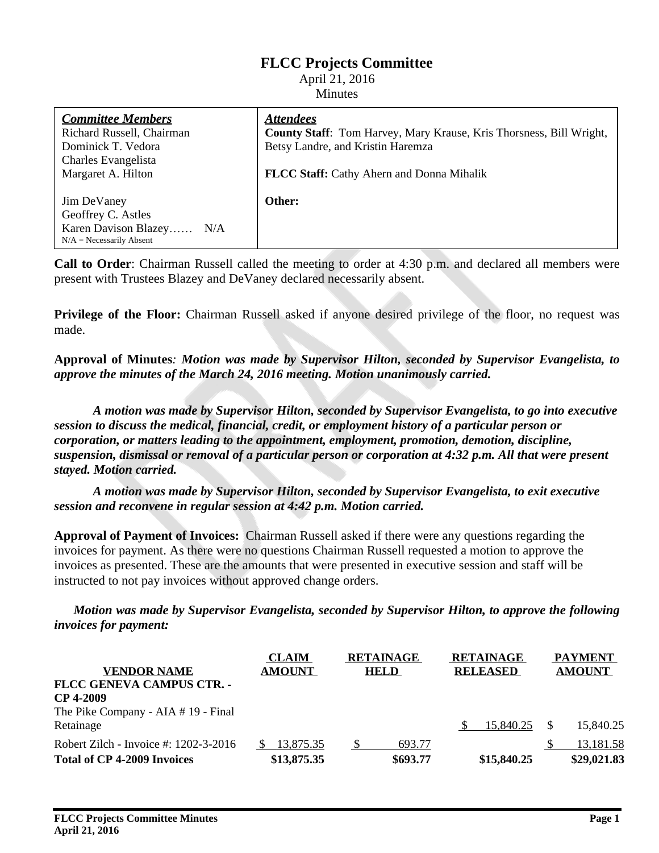# **FLCC Projects Committee**

# April 21, 2016

**Minutes** 

| <b>Committee Members</b>   | <i><b>Attendees</b></i>                                                    |
|----------------------------|----------------------------------------------------------------------------|
| Richard Russell, Chairman  | <b>County Staff:</b> Tom Harvey, Mary Krause, Kris Thorsness, Bill Wright, |
| Dominick T. Vedora         | Betsy Landre, and Kristin Haremza                                          |
| Charles Evangelista        |                                                                            |
| Margaret A. Hilton         | <b>FLCC Staff:</b> Cathy Ahern and Donna Mihalik                           |
|                            |                                                                            |
| Jim DeVaney                | Other:                                                                     |
| Geoffrey C. Astles         |                                                                            |
| Karen Davison Blazey N/A   |                                                                            |
| $N/A$ = Necessarily Absent |                                                                            |

**Call to Order**: Chairman Russell called the meeting to order at 4:30 p.m. and declared all members were present with Trustees Blazey and DeVaney declared necessarily absent.

**Privilege of the Floor:** Chairman Russell asked if anyone desired privilege of the floor, no request was made.

**Approval of Minutes***: Motion was made by Supervisor Hilton, seconded by Supervisor Evangelista, to approve the minutes of the March 24, 2016 meeting. Motion unanimously carried.*

*A motion was made by Supervisor Hilton, seconded by Supervisor Evangelista, to go into executive session to discuss the medical, financial, credit, or employment history of a particular person or corporation, or matters leading to the appointment, employment, promotion, demotion, discipline, suspension, dismissal or removal of a particular person or corporation at 4:32 p.m. All that were present stayed. Motion carried.*

*A motion was made by Supervisor Hilton, seconded by Supervisor Evangelista, to exit executive session and reconvene in regular session at 4:42 p.m. Motion carried.*

**Approval of Payment of Invoices:** Chairman Russell asked if there were any questions regarding the invoices for payment. As there were no questions Chairman Russell requested a motion to approve the invoices as presented. These are the amounts that were presented in executive session and staff will be instructed to not pay invoices without approved change orders.

*Motion was made by Supervisor Evangelista, seconded by Supervisor Hilton, to approve the following invoices for payment:*

|                                       | <b>CLAIM</b>  | <b>RETAINAGE</b> | <b>RETAINAGE</b> | <b>PAYMENT</b><br><b>AMOUNT</b> |  |
|---------------------------------------|---------------|------------------|------------------|---------------------------------|--|
| <b>VENDOR NAME</b>                    | <b>AMOUNT</b> | <b>HELD</b>      | <b>RELEASED</b>  |                                 |  |
| FLCC GENEVA CAMPUS CTR. -             |               |                  |                  |                                 |  |
| <b>CP 4-2009</b>                      |               |                  |                  |                                 |  |
| The Pike Company - AIA #19 - Final    |               |                  |                  |                                 |  |
| Retainage                             |               |                  | 15,840.25        | 15.840.25                       |  |
| Robert Zilch - Invoice #: 1202-3-2016 | 13,875.35     | 693.77           |                  | 13,181.58                       |  |
| <b>Total of CP 4-2009 Invoices</b>    | \$13,875.35   | \$693.77         | \$15,840.25      | \$29,021.83                     |  |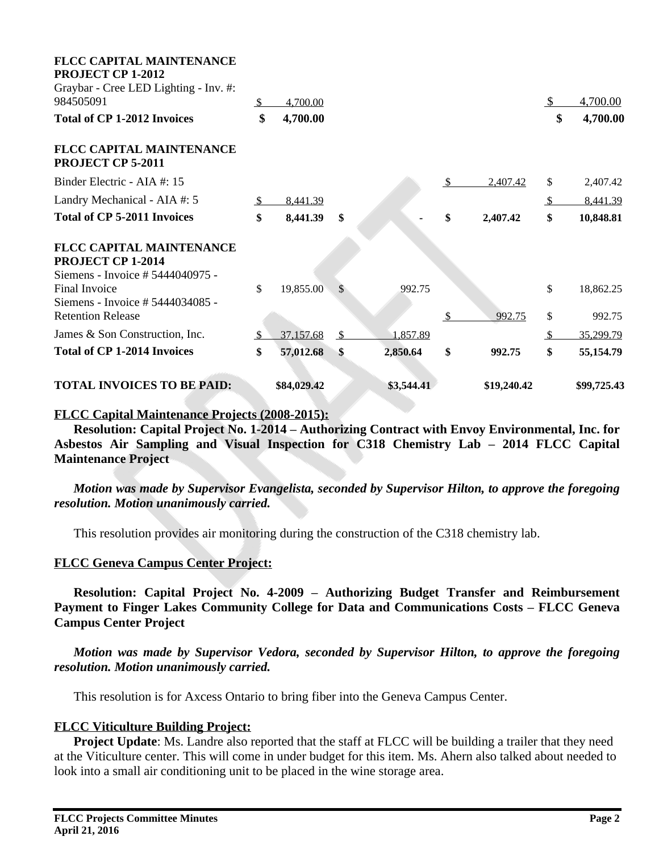| <b>TOTAL INVOICES TO BE PAID:</b>                                                                         |               | \$84,029.42 |               | \$3,544.41 |          | \$19,240.42 | \$99,725.43     |
|-----------------------------------------------------------------------------------------------------------|---------------|-------------|---------------|------------|----------|-------------|-----------------|
| <b>Total of CP 1-2014 Invoices</b>                                                                        | \$            | 57,012.68   | \$            | 2,850.64   | \$       | 992.75      | \$<br>55,154.79 |
| James & Son Construction, Inc.                                                                            | $\mathcal{S}$ | 37,157.68   | $\mathcal{S}$ | 1,857.89   |          |             | \$<br>35,299.79 |
| Siemens - Invoice # 5444034085 -<br><b>Retention Release</b>                                              |               |             |               |            | <b>S</b> | 992.75      | \$<br>992.75    |
| <b>FLCC CAPITAL MAINTENANCE</b><br>PROJECT CP 1-2014<br>Siemens - Invoice # 5444040975 -<br>Final Invoice | \$            | 19,855.00   | <sup>S</sup>  | 992.75     |          |             | \$<br>18,862.25 |
| <b>Total of CP 5-2011 Invoices</b>                                                                        | \$            | 8,441.39    | \$            |            | \$       | 2,407.42    | \$<br>10,848.81 |
| Landry Mechanical - AIA #: 5                                                                              |               | 8,441.39    |               |            |          |             | \$<br>8,441.39  |
| Binder Electric - AIA #: 15                                                                               |               |             |               |            | -S       | 2,407.42    | \$<br>2,407.42  |
| <b>FLCC CAPITAL MAINTENANCE</b><br>PROJECT CP 5-2011                                                      |               |             |               |            |          |             |                 |
| <b>Total of CP 1-2012 Invoices</b>                                                                        | \$            | 4,700.00    |               |            |          |             | \$<br>4,700.00  |
| FLCC CAPITAL MAINTENANCE<br>PROJECT CP 1-2012<br>Graybar - Cree LED Lighting - Inv. #:<br>984505091       | -S            | 4,700.00    |               |            |          |             | 4,700.00        |

#### **FLCC Capital Maintenance Projects (2008-2015):**

**Resolution: Capital Project No. 1-2014 – Authorizing Contract with Envoy Environmental, Inc. for Asbestos Air Sampling and Visual Inspection for C318 Chemistry Lab – 2014 FLCC Capital Maintenance Project**

*Motion was made by Supervisor Evangelista, seconded by Supervisor Hilton, to approve the foregoing resolution. Motion unanimously carried.*

This resolution provides air monitoring during the construction of the C318 chemistry lab.

#### **FLCC Geneva Campus Center Project:**

**Resolution: Capital Project No. 4-2009 – Authorizing Budget Transfer and Reimbursement Payment to Finger Lakes Community College for Data and Communications Costs – FLCC Geneva Campus Center Project**

*Motion was made by Supervisor Vedora, seconded by Supervisor Hilton, to approve the foregoing resolution. Motion unanimously carried.*

This resolution is for Axcess Ontario to bring fiber into the Geneva Campus Center.

### **FLCC Viticulture Building Project:**

**Project Update:** Ms. Landre also reported that the staff at FLCC will be building a trailer that they need at the Viticulture center. This will come in under budget for this item. Ms. Ahern also talked about needed to look into a small air conditioning unit to be placed in the wine storage area.